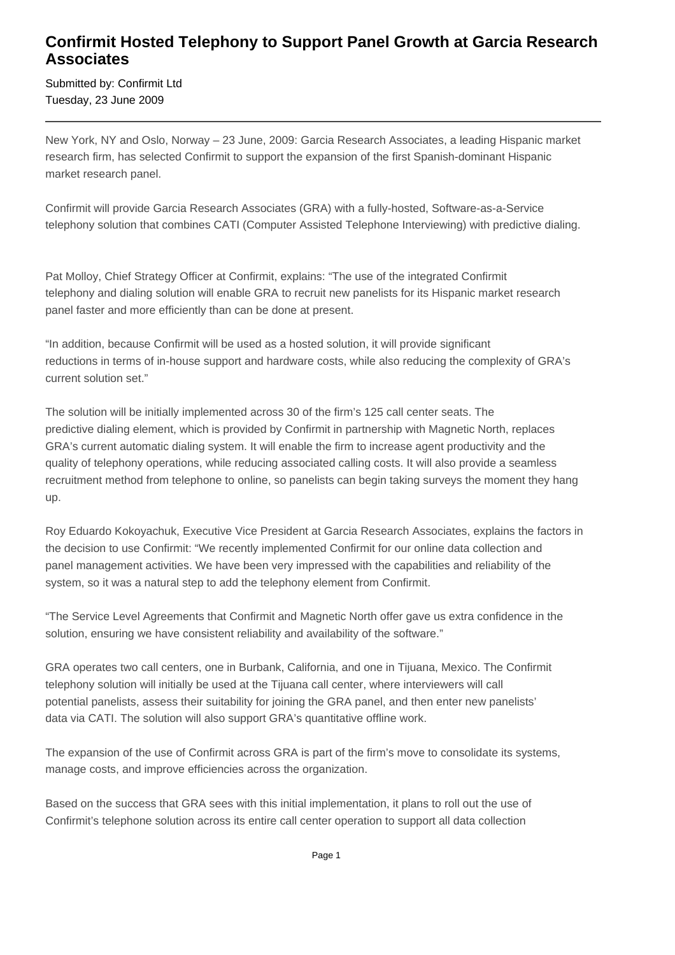## **Confirmit Hosted Telephony to Support Panel Growth at Garcia Research Associates**

Submitted by: Confirmit Ltd Tuesday, 23 June 2009

New York, NY and Oslo, Norway – 23 June, 2009: Garcia Research Associates, a leading Hispanic market research firm, has selected Confirmit to support the expansion of the first Spanish-dominant Hispanic market research panel.

Confirmit will provide Garcia Research Associates (GRA) with a fully-hosted, Software-as-a-Service telephony solution that combines CATI (Computer Assisted Telephone Interviewing) with predictive dialing.

Pat Molloy, Chief Strategy Officer at Confirmit, explains: "The use of the integrated Confirmit telephony and dialing solution will enable GRA to recruit new panelists for its Hispanic market research panel faster and more efficiently than can be done at present.

"In addition, because Confirmit will be used as a hosted solution, it will provide significant reductions in terms of in-house support and hardware costs, while also reducing the complexity of GRA's current solution set."

The solution will be initially implemented across 30 of the firm's 125 call center seats. The predictive dialing element, which is provided by Confirmit in partnership with Magnetic North, replaces GRA's current automatic dialing system. It will enable the firm to increase agent productivity and the quality of telephony operations, while reducing associated calling costs. It will also provide a seamless recruitment method from telephone to online, so panelists can begin taking surveys the moment they hang up.

Roy Eduardo Kokoyachuk, Executive Vice President at Garcia Research Associates, explains the factors in the decision to use Confirmit: "We recently implemented Confirmit for our online data collection and panel management activities. We have been very impressed with the capabilities and reliability of the system, so it was a natural step to add the telephony element from Confirmit.

"The Service Level Agreements that Confirmit and Magnetic North offer gave us extra confidence in the solution, ensuring we have consistent reliability and availability of the software."

GRA operates two call centers, one in Burbank, California, and one in Tijuana, Mexico. The Confirmit telephony solution will initially be used at the Tijuana call center, where interviewers will call potential panelists, assess their suitability for joining the GRA panel, and then enter new panelists' data via CATI. The solution will also support GRA's quantitative offline work.

The expansion of the use of Confirmit across GRA is part of the firm's move to consolidate its systems, manage costs, and improve efficiencies across the organization.

Based on the success that GRA sees with this initial implementation, it plans to roll out the use of Confirmit's telephone solution across its entire call center operation to support all data collection